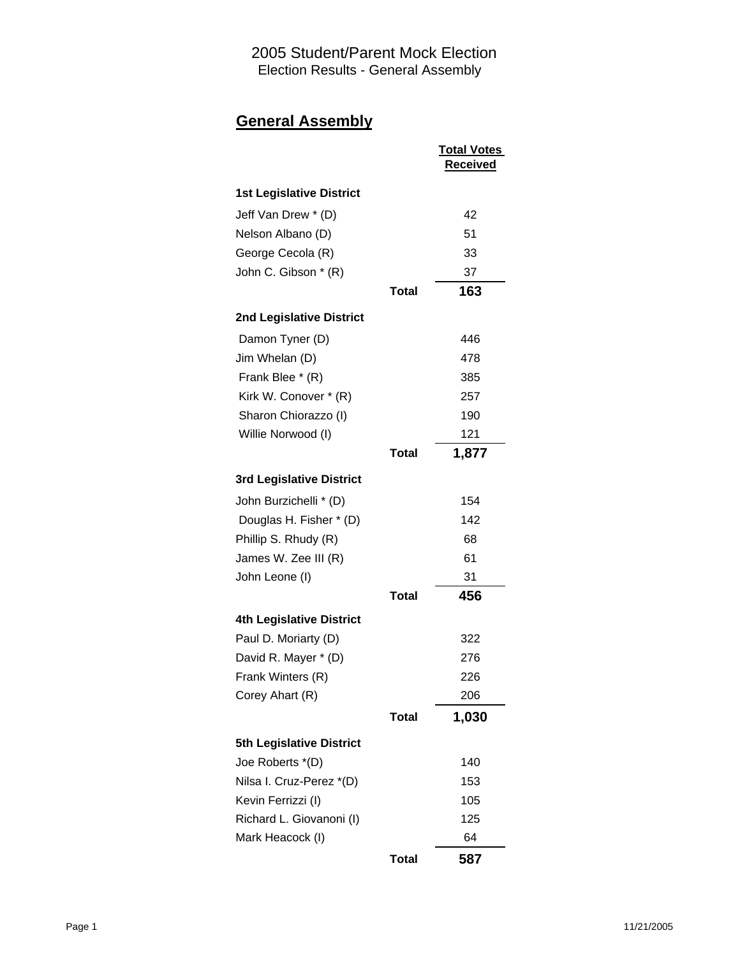# **General Assembly**

|                                 |              | <b>Total Votes</b><br><b>Received</b> |
|---------------------------------|--------------|---------------------------------------|
| <b>1st Legislative District</b> |              |                                       |
| Jeff Van Drew * (D)             |              | 42                                    |
| Nelson Albano (D)               |              | 51                                    |
| George Cecola (R)               |              | 33                                    |
| John C. Gibson * (R)            |              | 37                                    |
|                                 | <b>Total</b> | 163                                   |
| 2nd Legislative District        |              |                                       |
| Damon Tyner (D)                 |              | 446                                   |
| Jim Whelan (D)                  |              | 478                                   |
| Frank Blee * (R)                |              | 385                                   |
| Kirk W. Conover * (R)           |              | 257                                   |
| Sharon Chiorazzo (I)            |              | 190                                   |
| Willie Norwood (I)              |              | 121                                   |
|                                 | Total        | 1,877                                 |
| <b>3rd Legislative District</b> |              |                                       |
| John Burzichelli * (D)          |              | 154                                   |
| Douglas H. Fisher * (D)         |              | 142                                   |
| Phillip S. Rhudy (R)            |              | 68                                    |
| James W. Zee III (R)            |              | 61                                    |
| John Leone (I)                  |              | 31                                    |
|                                 | <b>Total</b> | 456                                   |
| <b>4th Legislative District</b> |              |                                       |
| Paul D. Moriarty (D)            |              | 322                                   |
| David R. Mayer * (D)            |              | 276                                   |
| Frank Winters (R)               |              | 226                                   |
| Corey Ahart (R)                 |              | 206                                   |
|                                 | <b>Total</b> | 1,030                                 |
| <b>5th Legislative District</b> |              |                                       |
| Joe Roberts *(D)                |              | 140                                   |
| Nilsa I. Cruz-Perez *(D)        |              | 153                                   |
| Kevin Ferrizzi (I)              |              | 105                                   |
| Richard L. Giovanoni (I)        |              | 125                                   |
| Mark Heacock (I)                |              | 64                                    |
|                                 | <b>Total</b> | 587                                   |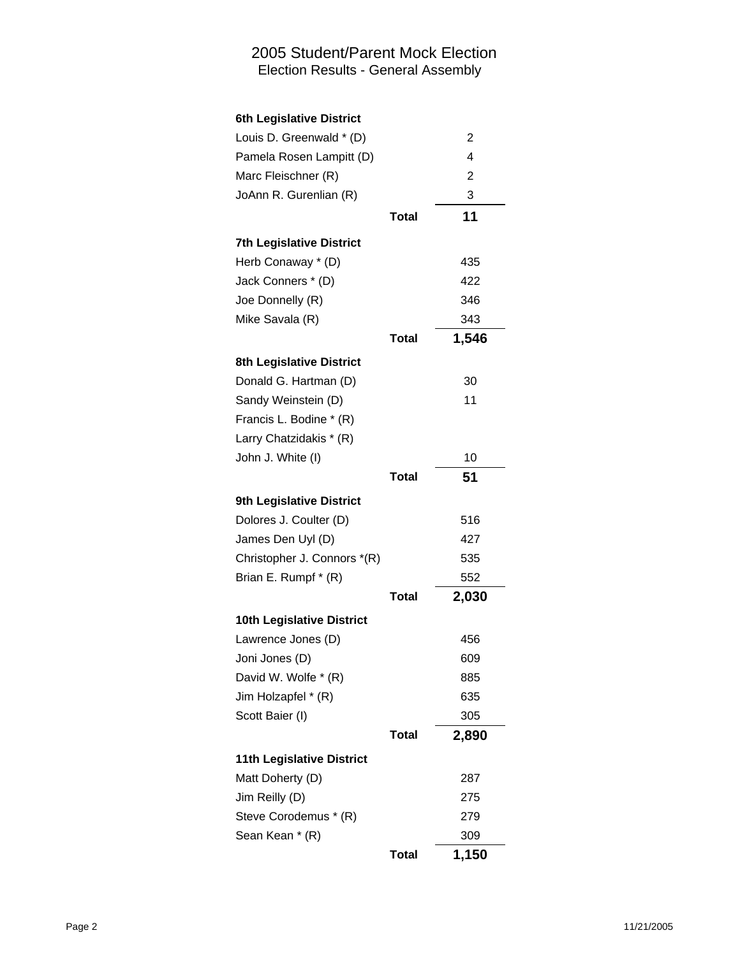| Louis D. Greenwald * (D)         |              | 2     |
|----------------------------------|--------------|-------|
| Pamela Rosen Lampitt (D)         |              | 4     |
| Marc Fleischner (R)              |              | 2     |
| JoAnn R. Gurenlian (R)           |              | 3     |
|                                  | Total        | 11    |
| <b>7th Legislative District</b>  |              |       |
| Herb Conaway * (D)               |              | 435   |
| Jack Conners * (D)               |              | 422   |
| Joe Donnelly (R)                 |              | 346   |
| Mike Savala (R)                  |              | 343   |
|                                  | Total        | 1,546 |
| 8th Legislative District         |              |       |
| Donald G. Hartman (D)            |              | 30    |
| Sandy Weinstein (D)              |              | 11    |
| Francis L. Bodine * (R)          |              |       |
| Larry Chatzidakis * (R)          |              |       |
| John J. White (I)                |              | 10    |
|                                  | <b>Total</b> | 51    |
| 9th Legislative District         |              |       |
| Dolores J. Coulter (D)           |              | 516   |
| James Den Uyl (D)                |              | 427   |
| Christopher J. Connors *(R)      |              | 535   |
| Brian E. Rumpf * (R)             |              | 552   |
|                                  | Total        | 2,030 |
| 10th Legislative District        |              |       |
| Lawrence Jones (D)               |              | 456   |
| Joni Jones (D)                   |              | 609   |
| David W. Wolfe * (R)             |              | 885   |
| Jim Holzapfel * (R)              |              | 635   |
| Scott Baier (I)                  |              | 305   |
|                                  | <b>Total</b> | 2,890 |
| <b>11th Legislative District</b> |              |       |
| Matt Doherty (D)                 |              | 287   |
| Jim Reilly (D)                   |              | 275   |
| Steve Corodemus * (R)            |              | 279   |
| Sean Kean * (R)                  |              | 309   |
|                                  | <b>Total</b> | 1,150 |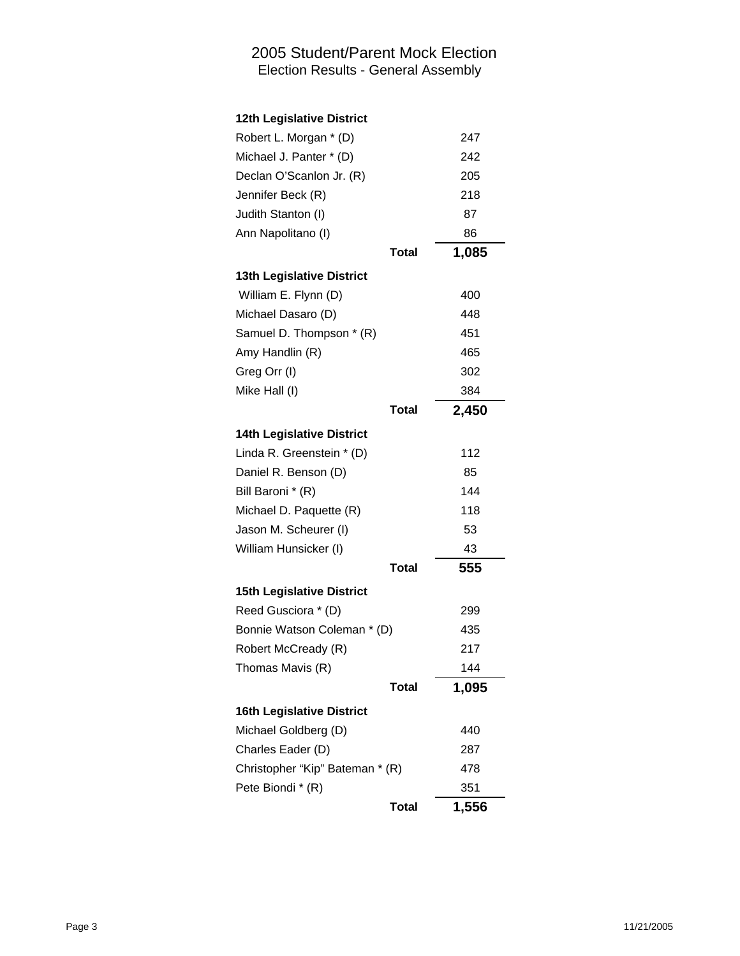| Robert L. Morgan * (D)           |              | 247   |
|----------------------------------|--------------|-------|
| Michael J. Panter * (D)          |              | 242   |
| Declan O'Scanlon Jr. (R)         |              | 205   |
| Jennifer Beck (R)                |              | 218   |
| Judith Stanton (I)               |              | 87    |
| Ann Napolitano (I)               |              | 86    |
|                                  | <b>Total</b> | 1,085 |
| 13th Legislative District        |              |       |
| William E. Flynn (D)             |              | 400   |
| Michael Dasaro (D)               |              | 448   |
| Samuel D. Thompson * (R)         |              | 451   |
| Amy Handlin (R)                  |              | 465   |
| Greg Orr (I)                     |              | 302   |
| Mike Hall (I)                    |              | 384   |
|                                  | <b>Total</b> | 2,450 |
| <b>14th Legislative District</b> |              |       |
| Linda R. Greenstein * (D)        |              | 112   |
| Daniel R. Benson (D)             |              | 85    |
| Bill Baroni * (R)                |              | 144   |
| Michael D. Paquette (R)          |              | 118   |
| Jason M. Scheurer (I)            |              | 53    |
| William Hunsicker (I)            |              | 43    |
|                                  | <b>Total</b> | 555   |
| <b>15th Legislative District</b> |              |       |
| Reed Gusciora * (D)              |              | 299   |
| Bonnie Watson Coleman * (D)      |              | 435   |
| Robert McCready (R)              |              | 217   |
| Thomas Mavis (R)                 |              | 144   |
|                                  | Total        | 1,095 |
| <b>16th Legislative District</b> |              |       |
| Michael Goldberg (D)             |              | 440   |
| Charles Eader (D)                |              | 287   |
| Christopher "Kip" Bateman * (R)  |              | 478   |
| Pete Biondi * (R)                |              | 351   |
|                                  | <b>Total</b> | 1,556 |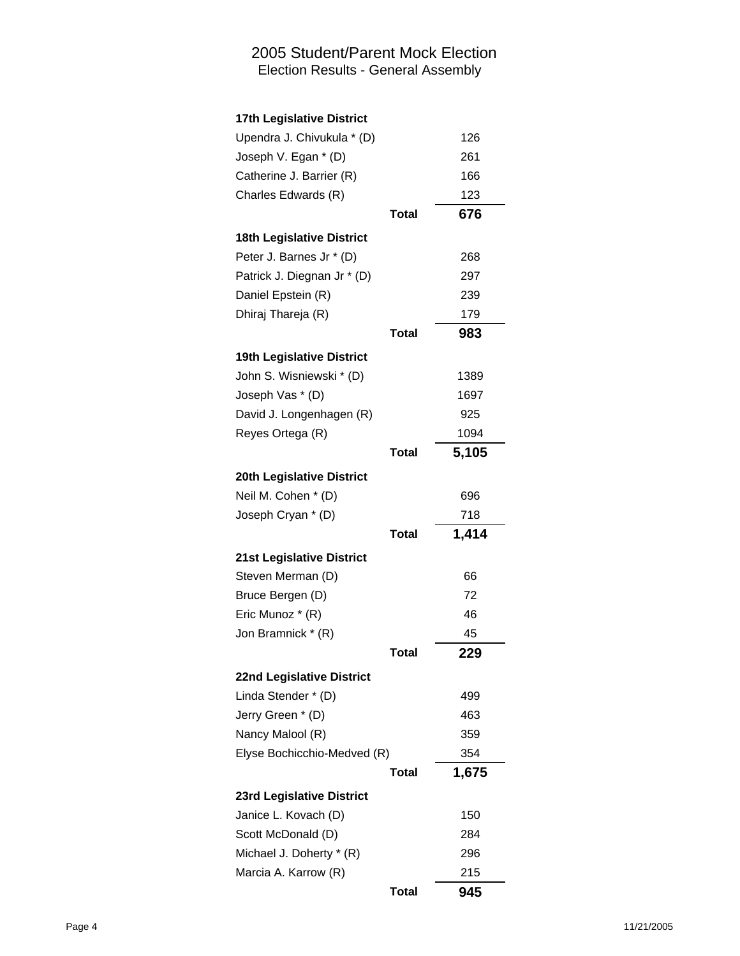| Upendra J. Chivukula * (D)       |              | 126   |
|----------------------------------|--------------|-------|
| Joseph V. Egan * (D)             |              | 261   |
| Catherine J. Barrier (R)         |              | 166   |
| Charles Edwards (R)              |              | 123   |
|                                  | <b>Total</b> | 676   |
| <b>18th Legislative District</b> |              |       |
| Peter J. Barnes Jr * (D)         |              | 268   |
| Patrick J. Diegnan Jr * (D)      |              | 297   |
| Daniel Epstein (R)               |              | 239   |
| Dhiraj Thareja (R)               |              | 179   |
|                                  | <b>Total</b> | 983   |
| 19th Legislative District        |              |       |
| John S. Wisniewski * (D)         |              | 1389  |
| Joseph Vas * (D)                 |              | 1697  |
| David J. Longenhagen (R)         |              | 925   |
| Reyes Ortega (R)                 |              | 1094  |
|                                  | Total        | 5,105 |
| 20th Legislative District        |              |       |
| Neil M. Cohen * (D)              |              | 696   |
| Joseph Cryan * (D)               |              | 718   |
|                                  | <b>Total</b> | 1,414 |
| <b>21st Legislative District</b> |              |       |
| Steven Merman (D)                |              | 66    |
|                                  |              | 72    |
| Bruce Bergen (D)                 |              |       |
| Eric Munoz * (R)                 |              | 46    |
| Jon Bramnick * (R)               |              | 45    |
|                                  | <b>Total</b> | 229   |
| 22nd Legislative District        |              |       |
| Linda Stender * (D)              |              | 499   |
| Jerry Green * (D)                |              | 463   |
| Nancy Malool (R)                 |              | 359   |
| Elyse Bochicchio-Medved (R)      |              | 354   |
|                                  | <b>Total</b> | 1,675 |
| 23rd Legislative District        |              |       |
| Janice L. Kovach (D)             |              | 150   |
| Scott McDonald (D)               |              | 284   |
| Michael J. Doherty * (R)         |              | 296   |
| Marcia A. Karrow (R)             |              | 215   |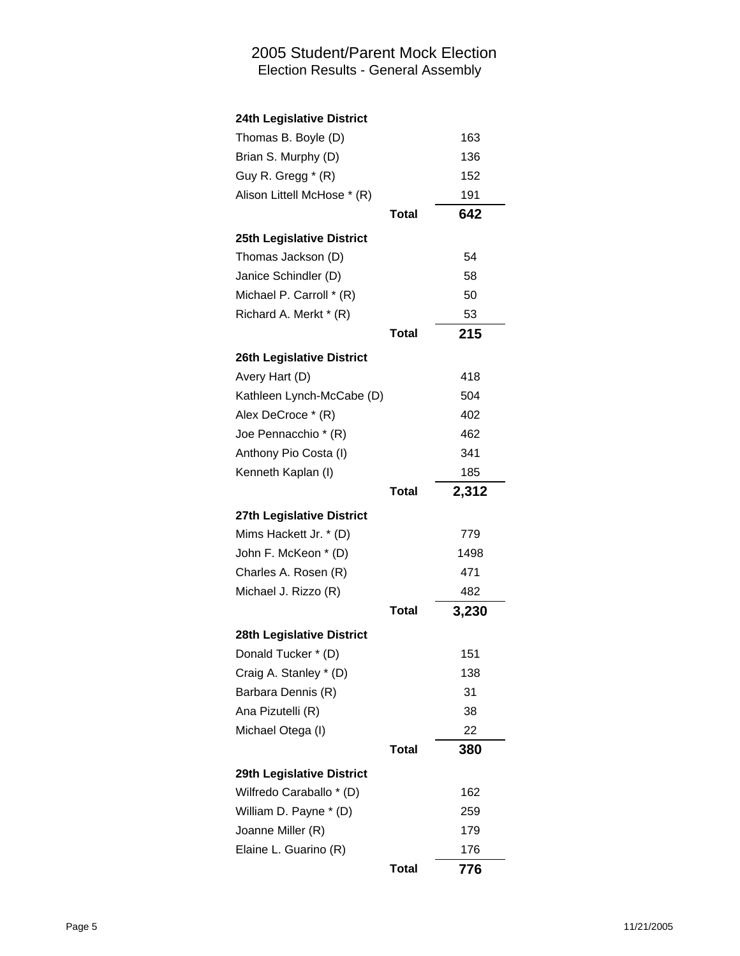| Thomas B. Boyle (D)         |              | 163   |
|-----------------------------|--------------|-------|
| Brian S. Murphy (D)         |              | 136   |
| Guy R. Gregg * (R)          |              | 152   |
| Alison Littell McHose * (R) |              | 191   |
|                             | <b>Total</b> | 642   |
| 25th Legislative District   |              |       |
| Thomas Jackson (D)          |              | 54    |
| Janice Schindler (D)        |              | 58    |
| Michael P. Carroll * (R)    |              | 50    |
| Richard A. Merkt * (R)      |              | 53    |
|                             | <b>Total</b> | 215   |
| 26th Legislative District   |              |       |
| Avery Hart (D)              |              | 418   |
| Kathleen Lynch-McCabe (D)   |              | 504   |
| Alex DeCroce * (R)          |              | 402   |
| Joe Pennacchio * (R)        |              | 462   |
| Anthony Pio Costa (I)       |              | 341   |
| Kenneth Kaplan (I)          |              | 185   |
|                             | <b>Total</b> | 2,312 |
| 27th Legislative District   |              |       |
| Mims Hackett Jr. * (D)      |              | 779   |
| John F. McKeon * (D)        |              | 1498  |
| Charles A. Rosen (R)        |              | 471   |
| Michael J. Rizzo (R)        |              | 482   |
|                             | <b>Total</b> | 3,230 |
| 28th Legislative District   |              |       |
| Donald Tucker * (D)         |              | 151   |
| Craig A. Stanley * (D)      |              | 138   |
| Barbara Dennis (R)          |              | 31    |
| Ana Pizutelli (R)           |              | 38    |
| Michael Otega (I)           |              | 22    |
|                             | <b>Total</b> | 380   |
| 29th Legislative District   |              |       |
| Wilfredo Caraballo * (D)    |              | 162   |
| William D. Payne * (D)      |              | 259   |
| Joanne Miller (R)           |              | 179   |
| Elaine L. Guarino (R)       |              | 176   |
|                             | Total        | 776   |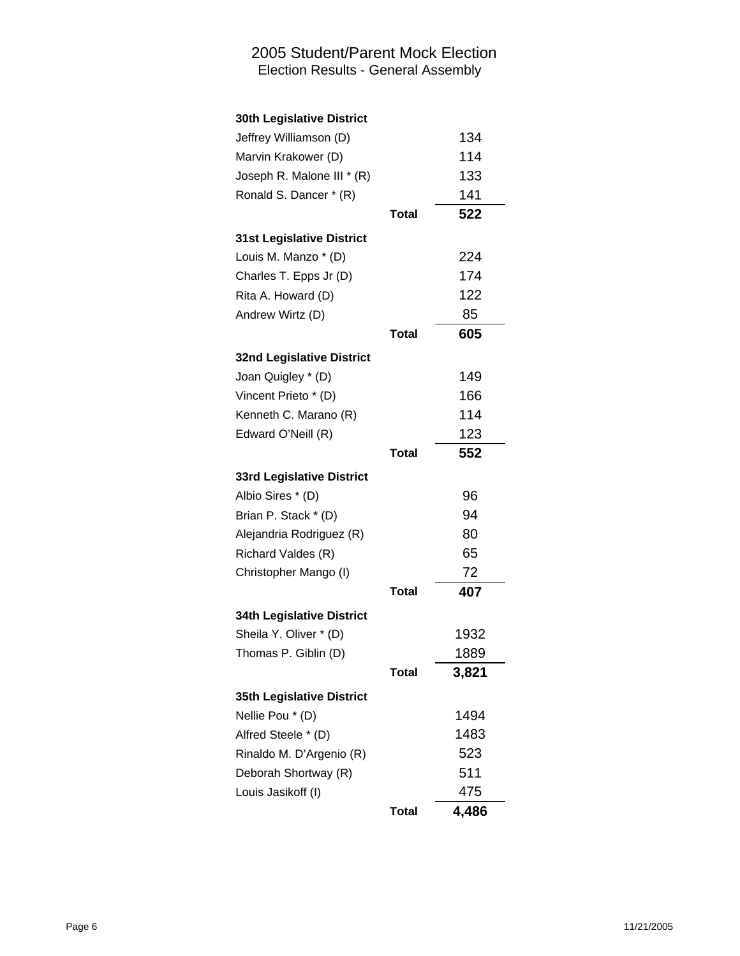| Jeffrey Williamson (D)           |              | 134   |
|----------------------------------|--------------|-------|
| Marvin Krakower (D)              |              | 114   |
| Joseph R. Malone III * (R)       |              | 133   |
| Ronald S. Dancer * (R)           |              | 141   |
|                                  | <b>Total</b> | 522   |
| <b>31st Legislative District</b> |              |       |
| Louis M. Manzo * (D)             |              | 224   |
| Charles T. Epps Jr (D)           |              | 174   |
| Rita A. Howard (D)               |              | 122   |
| Andrew Wirtz (D)                 |              | 85    |
|                                  | Total        | 605   |
| <b>32nd Legislative District</b> |              |       |
| Joan Quigley * (D)               |              | 149   |
| Vincent Prieto * (D)             |              | 166   |
| Kenneth C. Marano (R)            |              | 114   |
| Edward O'Neill (R)               |              | 123   |
|                                  | <b>Total</b> | 552   |
| 33rd Legislative District        |              |       |
| Albio Sires * (D)                |              | 96    |
| Brian P. Stack * (D)             |              | 94    |
| Alejandria Rodriguez (R)         |              | 80    |
| Richard Valdes (R)               |              | 65    |
| Christopher Mango (I)            |              | 72    |
|                                  | <b>Total</b> | 407   |
| <b>34th Legislative District</b> |              |       |
| Sheila Y. Oliver * (D)           |              | 1932  |
| Thomas P. Giblin (D)             |              | 1889  |
|                                  | Total        | 3,821 |
| 35th Legislative District        |              |       |
| Nellie Pou * (D)                 |              | 1494  |
| Alfred Steele * (D)              |              | 1483  |
| Rinaldo M. D'Argenio (R)         |              | 523   |
| Deborah Shortway (R)             |              | 511   |
| Louis Jasikoff (I)               |              | 475   |
|                                  | <b>Total</b> | 4,486 |